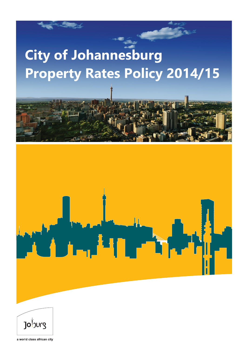# **City of Johannesburg Property Rates Policy 2014/15**



 $Jo^{\frac{1}{2}}$ 

a world class african city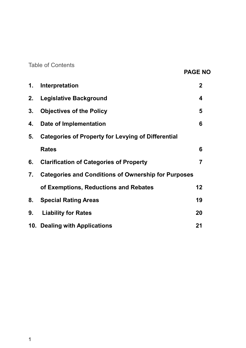Table of Contents

# **PAGE NO**

| 1. | Interpretation                                             | $\mathbf 2$ |
|----|------------------------------------------------------------|-------------|
| 2. | <b>Legislative Background</b>                              | 4           |
| 3. | <b>Objectives of the Policy</b>                            | 5           |
| 4. | Date of Implementation                                     | 6           |
| 5. | <b>Categories of Property for Levying of Differential</b>  |             |
|    | <b>Rates</b>                                               | 6           |
| 6. | <b>Clarification of Categories of Property</b>             | 7           |
| 7. | <b>Categories and Conditions of Ownership for Purposes</b> |             |
|    | of Exemptions, Reductions and Rebates                      | 12          |
| 8. | <b>Special Rating Areas</b>                                | 19          |
| 9. | <b>Liability for Rates</b>                                 | 20          |
|    | 10. Dealing with Applications                              | 21          |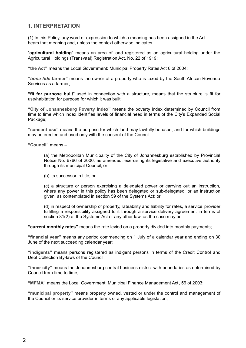#### **1. INTERPRETATION**

(1) In this Policy, any word or expression to which a meaning has been assigned in the Act bears that meaning and, unless the context otherwise indicates –

"**agricultural holding**" means an area of land registered as an agricultural holding under the Agricultural Holdings (Transvaal) Registration Act, No. 22 of 1919;

**"the Act"** means the Local Government: Municipal Property Rates Act 6 of 2004;

**"***bona fide* **farmer"** means the owner of a property who is taxed by the South African Revenue Services as a farmer;

**"fit for purpose built**" used in connection with a structure, means that the structure is fit for use/habitation for purpose for which it was built;

**"City of Johannesburg Poverty Index"** means the poverty index determined by Council from time to time which index identifies levels of financial need in terms of the City's Expanded Social Package:

**"consent use"** means the purpose for which land may lawfully be used, and for which buildings may be erected and used only with the consent of the Council;

**"Council"** means –

(a) the Metropolitan Municipality of the City of Johannesburg established by Provincial Notice No. 6766 of 2000, as amended, exercising its legislative and executive authority through its municipal Council; or

(b) its successor in title; or

(c) a structure or person exercising a delegated power or carrying out an instruction, where any power in this policy has been delegated or sub-delegated, or an instruction given, as contemplated in section 59 of the Systems Act; or

(d) in respect of ownership of property, rateability and liability for rates, a service provider fulfilling a responsibility assigned to it through a service delivery agreement in terms of section 81(2) of the Systems Act or any other law, as the case may be;

**"current monthly rates"** means the rate levied on a property divided into monthly payments;

**"financial year"** means any period commencing on 1 July of a calendar year and ending on 30 June of the next succeeding calendar year;

**"indigents"** means persons registered as indigent persons in terms of the Credit Control and Debt Collection By-laws of the Council;

**"inner city"** means the Johannesburg central business district with boundaries as determined by Council from time to time;

**"MFMA"** means the Local Government: Municipal Finance Management Act, 56 of 2003;

**"municipal property"** means property owned, vested or under the control and management of the Council or its service provider in terms of any applicable legislation;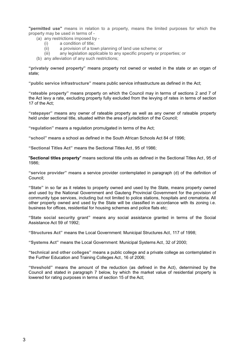**"permitted use"** means in relation to a property, means the limited purposes for which the property may be used in terms of -

- (a) any restrictions imposed by -<br>(i)  $\alpha$  condition of title:
	- a condition of title:
	- (ii) a provision of a town planning of land use scheme; or<br>(iii) any legislation applicable to any specific property or p
	- any legislation applicable to any specific property or properties; or
- (b) any alleviation of any such restrictions;

**"privately owned property"** means property not owned or vested in the state or an organ of state;

**"public service infrastructure"** means public service infrastructure as defined in the Act;

**"rateable property"** means property on which the Council may in terms of sections 2 and 7 of the Act levy a rate, excluding property fully excluded from the levying of rates in terms of section 17 of the Act;

**"ratepayer"** means any owner of rateable property as well as any owner of rateable property held under sectional title, situated within the area of jurisdiction of the Council;

**"regulation"** means a regulation promulgated in terms of the Act;

**"school"** means a school as defined in the South African Schools Act 84 of 1996;

**"Sectional Titles Act"** means the Sectional Titles Act, 95 of 1986;

"**Sectional titles property**" means sectional title units as defined in the Sectional Titles Act , 95 of 1986;

**"service provider"** means a service provider contemplated in paragraph (d) of the definition of Council;

**"State"** in so far as it relates to property owned and used by the State, means property owned and used by the National Government and Gauteng Provincial Government for the provision of community type services, including but not limited to police stations, hospitals and crematoria. All other property owned and used by the State will be classified in accordance with its zoning i.e. business for offices, residential for housing schemes and police flats etc;

**"State social security grant"** means any social assistance granted in terms of the Social Assistance Act 59 of 1992;

**"Structures Act"** means the Local Government: Municipal Structures Act, 117 of 1998;

**"Systems Act"** means the Local Government: Municipal Systems Act, 32 of 2000;

**"technical and other colleges"** means a public college and a private college as contemplated in the Further Education and Training Colleges Act, 16 of 2006;

**"threshold"** means the amount of the reduction (as defined in the Act), determined by the Council and stated in paragraph 7 below, by which the market value of residential property is lowered for rating purposes in terms of section 15 of the Act;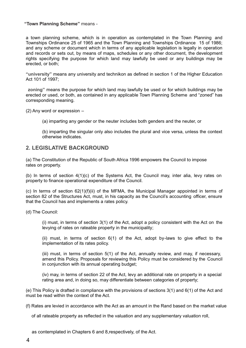#### **"Town Planning Scheme"** means -

a town planning scheme, which is in operation as contemplated in the Town Planning and Townships Ordinance 25 of 1965 and the Town Planning and Townships Ordinance 15 of 1986; and any scheme or document which in terms of any applicable legislation is legally in operation and records or sets out, by means of maps, schedules or any other document, the development rights specifying the purpose for which land may lawfully be used or any buildings may be erected, or both;

**"university"** means any university and technikon as defined in section 1 of the Higher Education Act 101 of 1997;

**zoning"** means the purpose for which land may lawfully be used or for which buildings may be erected or used, or both, as contained in any applicable Town Planning Scheme and "zoned" has corresponding meaning.

(2) Any word or expression –

(a) imparting any gender or the neuter includes both genders and the neuter, or

(b) imparting the singular only also includes the plural and vice versa, unless the context otherwise indicates.

#### **2. LEGISLATIVE BACKGROUND**

(a) The Constitution of the Republic of South Africa 1996 empowers the Council to impose rates on property.

(b) In terms of section 4(1)(c) of the Systems Act, the Council may, inter alia, levy rates on property to finance operational expenditure of the Council.

(c) In terms of section 62(1)(f)(ii) of the MFMA, the Municipal Manager appointed in terms of section 82 of the Structures Act, must, in his capacity as the Council's accounting officer, ensure that the Council has and implements a rates policy.

(d) The Council:

(i) must, in terms of section 3(1) of the Act, adopt a policy consistent with the Act on the levying of rates on rateable property in the municipality;

(ii) must, in terms of section 6(1) of the Act, adopt by-laws to give effect to the implementation of its rates policy.

(iii) must, in terms of section 5(1) of the Act, annually review, and may, if necessary, amend this Policy. Proposals for reviewing this Policy must be considered by the Council in conjunction with its annual operating budget;

(iv) may, in terms of section 22 of the Act, levy an additional rate on property in a special rating area and, in doing so, may differentiate between categories of property;

(e) This Policy is drafted in compliance with the provisions of sections 3(1) and 6(1) of the Act and must be read within the context of the Act.

(f) Rates are levied in accordance with the Act as an amount in the Rand based on the market value

of all rateable property as reflected in the valuation and any supplementary valuation roll,

as contemplated in Chapters 6 and 8,respectively , of the Act.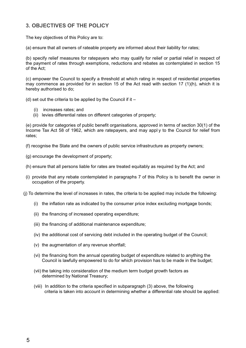#### **3. OBJECTIVES OF THE POLICY**

The key objectives of this Policy are to:

(a) ensure that all owners of rateable property are informed about their liability for rates;

(b) specify relief measures for ratepayers who may qualify for relief or partial relief in respect of the payment of rates through exemptions, reductions and rebates as contemplated in section 15 of the Act;

(c) empower the Council to specify a threshold at which rating in respect of residential properties may commence as provided for in section 15 of the Act read with section 17 (1)(h), which it is hereby authorised to do;

(d) set out the criteria to be applied by the Council if it  $-$ 

- (i) increases rates; and
- (ii) levies differential rates on different categories of property;

(e) provide for categories of public benefit organisations, approved in terms of section 30(1) of the Income Tax Act 58 of 1962, which are ratepayers, and may appl y to the Council for relief from rates;

(f) recognise the State and the owners of public service infrastructure as property owners;

- (g) encourage the development of property;
- (h) ensure that all persons liable for rates are treated equitably as required by the Act; and
- (i) provide that any rebate contemplated in paragraphs 7 of this Policy is to benefit the owner in occupation of the property.
- (j) To determine the level of increases in rates, the criteria to be applied may include the following:
	- (i) the inflation rate as indicated by the consumer price index excluding mortgage bonds;
	- (ii) the financing of increased operating expenditure;
	- (iii) the financing of additional maintenance expenditure;
	- (iv) the additional cost of servicing debt included in the operating budget of the Council;
	- (v) the augmentation of any revenue shortfall;
	- (vi) the financing from the annual operating budget of expenditure related to anything the Council is lawfully empowered to do for which provision has to be made in the budget;
	- (vii) the taking into consideration of the medium term budget growth factors as determined by National Treasury;
	- (viii) In addition to the criteria specified in subparagraph (3) above, the following criteria is taken into account in determining whether a differential rate should be applied: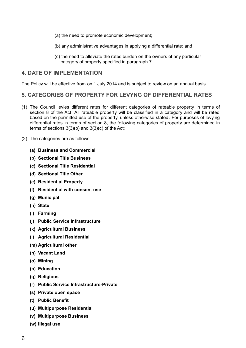- (a) the need to promote economic development;
- (b) any administrative advantages in applying a differential rate; and
- (c) the need to alleviate the rates burden on the owners of any particular category of property specified in paragraph 7.

#### **4. DATE OF IMPLEMENTATION**

The Policy will be effective from on 1 July 2014 and is subject to review on an annual basis.

#### **5. CATEGORIES OF PROPERTY FOR LEVYNG OF DIFFERENTIAL RATES**

- (1) The Council levies different rates for different categories of rateable property in terms of section 8 of the Act. All rateable property will be classified in a category and will be rated based on the permitted use of the property, unless otherwise stated. For purposes of levying differential rates in terms of section 8, the following categories of property are determined in terms of sections 3(3)(b) and 3(3)(c) of the Act:
- (2) The categories are as follows:
	- **(a) Business and Commercial**
	- **(b) Sectional Title Business**
	- **(c) Sectional Title Residential**
	- **(d) Sectional Title Other**
	- **(e) Residential Property**
	- **(f) Residential with consent use**
	- **(g) Municipal**
	- **(h) State**
	- **(i) Farming**
	- **(j) Public Service Infrastructure**
	- **(k) Agricultural Business**
	- **(l) Agricultural Residential**
	- **(m) Agricultural other**
	- **(n) Vacant Land**
	- **(o) Mining**
	- **(p) Education**
	- **(q) Religious**
	- **(r) Public Service Infrastructure-Private**
	- **(s) Private open space**
	- **(t) Public Benefit**
	- **(u) Multipurpose Residential**
	- **(v) Multipurpose Business**
	- **(w) Illegal use**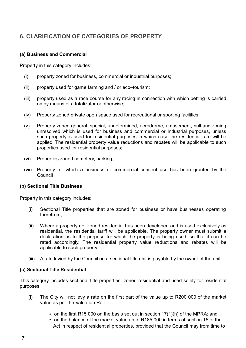# **6. CLARIFICATION OF CATEGORIES OF PROPERTY**

#### **(a) Business and Commercial**

Property in this category includes:

- (i) property zoned for business, commercial or industrial purposes;
- (ii) property used for game farming and / or eco–tourism;
- (iii) property used as a race course for any racing in connection with which betting is carried on by means of a totalizator or otherwise;
- (iv) Property zoned private open space used for recreational or sporting facilities.
- (v) Property zoned general, special, undetermined, aerodrome, amusement, null and zoning unresolved which is used for business and commercial or industrial purposes, unless such property is used for residential purposes in which case the residential rate will be applied. The residential property value reductions and rebates will be applicable to such properties used for residential purposes;
- (vi) Properties zoned cemetery, parking;
- (vii) Property for which a business or commercial consent use has been granted by the Council

#### **(b) Sectional Title Business**

Property in this category includes:

- (i) Sectional Title properties that are zoned for business or have businesses operating therefrom;
- (ii) Where a property not zoned residential has been developed and is used exclusively as residential, the residential tariff will be applicable. The property owner must submit a declaration as to the purpose for which the property is being used, so that it can be rated accordingly. The residential property value reductions and rebates will be applicable to such property;
- (iii) A rate levied by the Council on a sectional title unit is payable by the owner of the unit.

#### **(c) Sectional Title Residential**

This category includes sectional title properties, zoned residential and used solely for residential purposes:

- (i) The City will not levy a rate on the first part of the value up to R200 000 of the market value as per the Valuation Roll:
	- on the first R15 000 on the basis set out in section 17(1)(h) of the MPRA; and
	- Act in respect of residential properties, provided that the Council may from time to on the balance of the market value up to R185 000 in terms of section 15 of the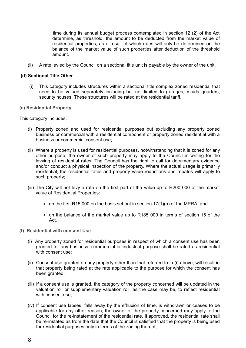time during its annual budget process contemplated in section 12 (2) of the Act determine, as threshold, the amount to be deducted from the market value of residential properties, as a result of which rates will only be determined on the balance of the market value of such properties after deduction of the threshold amount.

(ii) A rate levied by the Council on a sectional title unit is payable by the owner of the unit.

#### **(d) Sectional Title Other**

- (i) This category includes structures within a sectional title complex zoned residential that need to be valued separately including but not limited to garages, maids quarters, security houses. These structures will be rated at the residential tariff.
- **(e) Residential Property**

This category includes:

- (i) Property zoned and used for residential purposes but excluding any property zoned business or commercial with a residential component or property zoned residential with a business or commercial consent use;
- (ii) Where a property is used for residential purposes, notwithstanding that it is zoned for any other purpose, the owner of such property may apply to the Council in writing for the levying of residential rates. The Council has the right to call for documentary evidence and/or conduct a physical inspection of the property. Where the actual usage is primarily residential, the residential rates and property value reductions and rebates will apply to such property;
- (iii) The City will not levy a rate on the first part of the value up to R200 000 of the market value of Residential Properties:
	- $\bullet$  on the first R15 000 on the basis set out in section 17(1)(h) of the MPRA; and
	- on the balance of the market value up to R185 000 in terms of section 15 of the Act.
- **(f) Residential with consent Use**
	- (i) Any property zoned for residential purposes in respect of which a consent use has been granted for any business, commercial or industrial purpose shall be rated as residential with consent use:
	- (ii) Consent use granted on any property other than that referred to in (i) above, will result in that property being rated at the rate applicable to the purpose for which the consent has been granted;
	- (iii) If a consent use is granted, the category of the property concerned will be updated in the valuation roll or supplementary valuation roll, as the case may be, to reflect residential with consent use;
	- (iv) If consent use lapses, falls away by the effluxion of time, is withdrawn or ceases to be applicable for any other reason, the owner of the property concerned may apply to the Council for the re-instatement of the residential rate. If approved, the residential rate shall be re-instated as from the date that the Council is satisfied that the property is being used for residential purposes only in terms of the zoning thereof;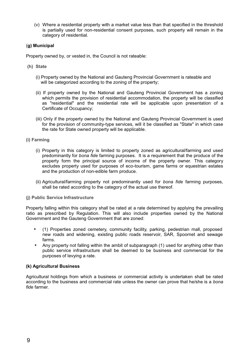(v) Where a residential property with a market value less than that specified in the threshold is partially used for non-residential consent purposes, such property will remain in the category of residential.

#### **(g) Municipal**

Property owned by, or vested in, the Council is not rateable:

- **(h) State**
	- (i) Property owned by the National and Gauteng Provincial Government is rateable and will be categorized according to the zoning of the property:
	- (ii) If property owned by the National and Gauteng Provincial Government has a zoning which permits the provision of residential accommodation, the property will be classified as "residential" and the residential rate will be applicable upon presentation of a Certificate of Occupancy;
	- (iii) Only if the property owned by the National and Gauteng Provincial Government is used for the provision of community-type services, will it be classified as "State" in which case the rate for State owned property will be applicable.

#### **(i) Farming**

- (i) Property in this category is limited to property zoned as agricultural/farming and used predominantly for *bona fide* farming purposes. It is a requirement that the produce of the property form the principal source of income of the property owner. This category excludes property used for purposes of eco-tourism, game farms or equestrian estates and the production of non-edible farm produce.
- (ii) Agricultural/farming property not predominantly used for *bona fide* farming purposes, shall be rated according to the category of the actual use thereof.

#### **(j) Public Service Infrastructure**

Property falling within this category shall be rated at a rate determined by applying the prevailing ratio as prescribed by Regulation. This will also include properties owned by the National Government and the Gauteng Government that are zoned:

- (1) Properties zoned cemetery, community facility, parking, pedestrian mall, proposed new roads and widening, existing public roads reservoir, SAR, Spoornet and sewage farms.
- Any property not falling within the ambit of subparagraph (1) used for anything other than public service infrastructure shall be deemed to be business and commercial for the purposes of levying a rate.

#### **(k) Agricultural Business**

Agricultural holdings from which a business or commercial activity is undertaken shall be rated according to the business and commercial rate unless the owner can prove that he/she is a *bona fide* farmer.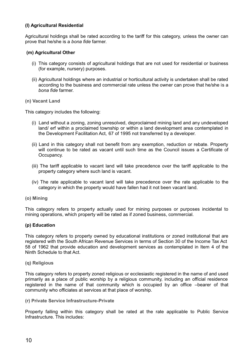#### **(l) Agricultural Residential**

Agricultural holdings shall be rated according to the tariff for this category, unless the owner can prove that he/she is a *bona fide* farmer.

#### **(m) Agricultural Other**

- (i) This category consists of agricultural holdings that are not used for residential or business (for example, nursery) purposes.
- (ii) Agricultural holdings where an industrial or horticultural activity is undertaken shall be rated according to the business and commercial rate unless the owner can prove that he/she is a *bona fide* farmer.

#### **(n) Vacant Land**

This category includes the following:

- (i) Land without a zoning, zoning unresolved, deproclaimed mining land and any undeveloped land/ erf within a proclaimed township or within a land development area contemplated in the Development Facilitation Act, 67 of 1995 not transferred by a developer.
- (ii) Land in this category shall not benefit from any exemption, reduction or rebate. Property will continue to be rated as vacant until such time as the Council issues a Certificate of Occupancy.
- (iii) The tariff applicable to vacant land will take precedence over the tariff applicable to the property category where such land is vacant.
- (iv) The rate applicable to vacant land will take precedence over the rate applicable to the category in which the property would have fallen had it not been vacant land.

#### **(o) Mining**

This category refers to property actually used for mining purposes or purposes incidental to mining operations, which property will be rated as if zoned business, commercial.

#### **(p) Education**

This category refers to property owned by educational institutions or zoned institutional that are registered with the South African Revenue Services in terms of Section 30 of the Income Tax Act 58 of 1962 that provide education and development services as contemplated in Item 4 of the Ninth Schedule to that Act.

#### **(q) Religious**

This category refers to property zoned religious or ecclesiastic registered in the name of and used primarily as a place of public worship by a religious community, including an official residence registered in the name of that community which is occupied by an office –bearer of that community who officiates at services at that place of worship.

#### **(r) Private Service Infrastructure-Private**

Property falling within this category shall be rated at the rate applicable to Public Service Infrastructure. This includes: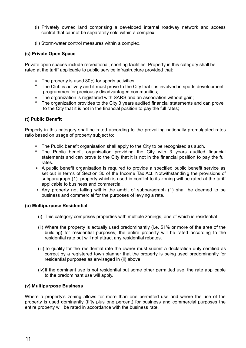- (i) Privately owned land comprising a developed internal roadway network and access control that cannot be separately sold within a complex.
- (ii) Storm-water control measures within a complex.

#### **(s) Private Open Space**

Private open spaces include recreational, sporting facilities. Property in this category shall be rated at the tariff applicable to public service infrastructure provided that:

- The property is used 80% for sports activities;
- The Club is actively and it must prove to the City that it is involved in sports development programmes for previously disadvantaged communities;
- The organization is registered with SARS and an association without gain:
- The organization provides to the City 3 years audited financial statements and can prove to the City that it is not in the financial position to pay the full rates;

#### **(t) Public Benefit**

Property in this category shall be rated according to the prevailing nationally promulgated rates ratio based on usage of property subject to:

- The Public benefit organisation shall apply to the City to be recognised as such.
- The Public benefit organisation providing the City with 3 years audited financial statements and can prove to the City that it is not in the financial position to pay the full rates.
- A public benefit organisation is required to provide a specified public benefit service as set out in terms of Section 30 of the Income Tax Act. Notwithstandin g the provisions of subparagraph (1), property which is used in conflict to its zoning will be rated at the tariff applicable to business and commercial.
- Any property not falling within the ambit of subparagraph (1) shall be deemed to be business and commercial for the purposes of levying a rate.

#### **(u) Multipurpose Residential**

- (i) This category comprises properties with multiple zonings, one of which is residential.
- (ii) Where the property is actually used predominantly (i.e. 51% or more of the area of the building) for residential purposes, the entire property will be rated according to the residential rate but will not attract any residential rebates.
- (iii)To qualify for the residential rate the owner must submit a declaration duly certified as correct by a registered town planner that the property is being used predominantly for residential purposes as envisaged in (ii) above.
- (iv)If the dominant use is not residential but some other permitted use, the rate applicable to the predominant use will apply.

#### **(v) Multipurpose Business**

Where a property's zoning allows for more than one permitted use and where the use of the property is used dominantly (fifty plus one percent) for business and commercial purposes the entire property will be rated in accordance with the business rate.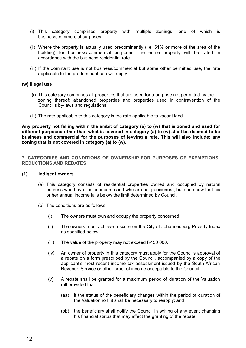- (i) This category comprises property with multiple zonings, one of which is business/commercial purposes.
- (ii) Where the property is actually used predominantly (i.e. 51% or more of the area of the building) for business/commercial purposes, the entire property will be rated in accordance with the business residential rate.
- (iii) If the dominant use is not business/commercial but some other permitted use, the rate applicable to the predominant use will apply.

#### **(w) Illegal use**

- (i) This category comprises all properties that are used for a purpose not permitted by the zoning thereof; abandoned properties and properties used in contravention of the Council's by-laws and regulations.
- (iii) The rate applicable to this category is the rate applicable to vacant land.

**Any property not falling within the ambit of category (a) to (w) that is zoned and used for different purposed other than what is covered in category (a) to (w) shall be deemed to be business and commercial for the purposes of levying a rate. This will also include; any zoning that is not covered in category (a) to (w).**

**7. CATEGORIES AND CONDITIONS OF OWNERSHIP FOR PURPOSES OF EXEMPTIONS, REDUCTIONS AND REBATES**

#### **(1) Indigent owners**

- (a) This category consists of residential properties owned and occupied by natural persons who have limited income and who are not pensioners, but can show that his or her annual income falls below the limit determined by Council.
- (b) The conditions are as follows:
	- (i) The owners must own and occupy the property concerned.
	- (ii) The owners must achieve a score on the City of Johannesburg Poverty Index as specified below.
	- (iii) The value of the property may not exceed R450 000.
	- (iv) An owner of property in this category must apply for the Council's approval of a rebate on a form prescribed by the Council, accompanied by a copy of the applicant's most recent income tax assessment issued by the South African Revenue Service or other proof of income acceptable to the Council.
	- (v) A rebate shall be granted for a maximum period of duration of the Valuation roll provided that:
		- (aa) if the status of the beneficiary changes within the period of duration of the Valuation roll, it shall be necessary to reapply; and
		- (bb) the beneficiary shall notify the Council in writing of any event changing his financial status that may affect the granting of the rebate.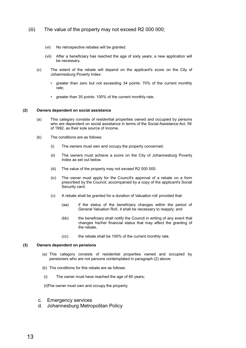#### (iii) The value of the property may not exceed R2 000 000;

- (vi) No retrospective rebates will be granted.
- (vii) After a beneficiary has reached the age of sixty years, a new application will be necessary.
- (c) The extent of the rebate will depend on the applicant's score on the City of Johannesburg Poverty Index:
	- greater than zero but not exceeding 34 points: 70% of the current monthly rate;
	- greater than 35 points: 100% of the current monthly rate.

#### **(2) Owners dependent on social assistance**

- (a) This category consists of residential properties owned and occupied by persons who are dependent on social assistance in terms of the Social Assistance Act, 59 of 1992, as their sole source of income.
- (b) The conditions are as follows:
	- (i) The owners must own and occupy the property concerned;
	- (ii) The owners must achieve a score on the City of Johannesburg Poverty Index as set out below.
	- (iii) The value of the property may not exceed R2 000 000.
	- (iv) The owner must apply for the Council's approval of a rebate on a form prescribed by the Council, accompanied by a copy of the applicant's Social Security card;
	- (v) A rebate shall be granted for a duration of Valuation roll provided that:
		- (aa) if the status of the beneficiary changes within the period of General Valuation Roll, it shall be necessary to reapply; and
		- (bb) the beneficiary shall notify the Council in writing of any event that changes his/her financial status that may affect the granting of the rebate,
		- (cc) the rebate shall be 100% of the current monthly rate.

#### **(3) Owners dependent on pensions**

- (a) This category consists of residential properties owned and occupied by pensioners who are not persons contemplated in paragraph (2) above.
- (b) The conditions for this rebate are as follows:
- (i) The owner must have reached the age of 60 years;

(ii)The owner must own and occupy the property;

- c. Emergency services
- d. Johannesburg Metropolitan Policy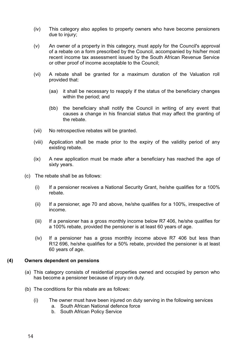- (iv) This category also applies to property owners who have become pensioners due to injury;
- (v) An owner of a property in this category, must apply for the Council's approval of a rebate on a form prescribed by the Council, accompanied by his/her most recent income tax assessment issued by the South African Revenue Service or other proof of income acceptable to the Council;
- (vi) A rebate shall be granted for a maximum duration of the Valuation roll provided that:
	- (aa) it shall be necessary to reapply if the status of the beneficiary changes within the period; and
	- (bb) the beneficiary shall notify the Council in writing of any event that causes a change in his financial status that may affect the granting of the rebate.
- (vii) No retrospective rebates will be granted.
- (viii) Application shall be made prior to the expiry of the validity period of any existing rebate.
- (ix) A new application must be made after a beneficiary has reached the age of sixty years.
- (c) The rebate shall be as follows:
	- (i) If a pensioner receives a National Security Grant, he/she qualifies for a 100% rebate.
	- (ii) If a pensioner, age 70 and above, he/she qualifies for a 100%, irrespective of income.
	- (iii) If a pensioner has a gross monthly income below R7 406, he/she qualifies for a 100% rebate, provided the pensioner is at least 60 years of age.
	- (iv) If a pensioner has a gross monthly income above R7 406 but less than R12 696, he/she qualifies for a 50% rebate, provided the pensioner is at least 60 years of age.

#### **(4) Owners dependent on pensions**

- (a) This category consists of residential properties owned and occupied by person who has become a pensioner because of injury on duty.
- (b) The conditions for this rebate are as follows:
	- (i) The owner must have been injured on duty serving in the following services
		- a. South African National defence force
		- b. South African Policy Service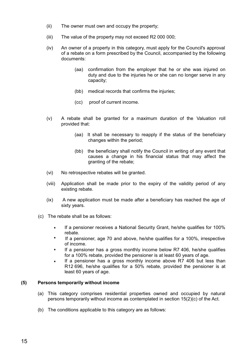- (ii) The owner must own and occupy the property;
- (iii) The value of the property may not exceed R2 000 000;
- (iv) An owner of a property in this category, must apply for the Council's approval of a rebate on a form prescribed by the Council, accompanied by the following documents:
	- (aa) confirmation from the employer that he or she was injured on duty and due to the injuries he or she can no longer serve in any capacity;
	- (bb) medical records that confirms the injuries;
	- (cc) proof of current income.
- (v) A rebate shall be granted for a maximum duration of the Valuation roll provided that:
	- (aa) It shall be necessary to reapply if the status of the beneficiary changes within the period;
	- (bb) the beneficiary shall notify the Council in writing of any event that causes a change in his financial status that may affect the granting of the rebate;
- (vi) No retrospective rebates will be granted.
- (viii) Application shall be made prior to the expiry of the validity period of any existing rebate.
- (ix) A new application must be made after a beneficiary has reached the age of sixty years.
- (c) The rebate shall be as follows:
	- If a pensioner receives a National Security Grant, he/she qualifies for 100%  $\bullet$ rebate.
	- $\ddot{\phantom{a}}$ If a pensioner, age 70 and above, he/she qualifies for a 100%, irrespective of income.
	- If a pensioner has a gross monthly income below R7 406, he/she qualifies for a 100% rebate, provided the pensioner is at least 60 years of age.
	- If a pensioner has a gross monthly income above R7 406 but less than  $\bullet$ R12 696, he/she qualifies for a 50% rebate, provided the pensioner is at least 60 years of age.

#### **(5) Persons temporarily without income**

- (a) This category comprises residential properties owned and occupied by natural persons temporarily without income as contemplated in section 15(2)(c) of the Act.
- (b) The conditions applicable to this category are as follows: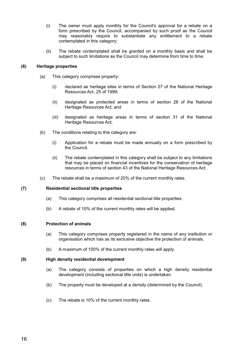- $(i)$  The owner must apply monthly for the Council's approval for a rebate on a form prescribed by the Council, accompanied by such proof as the Council may reasonably require to substantiate any entitlement to a rebate contemplated in this category;
- (ii) The rebate contemplated shall be granted on a monthly basis and shall be subject to such limitations as the Council may determine from time to time.

#### **(6) Heritage properties**

- (a) This category comprises property:
	- (i) declared as heritage sites in terms of Section 27 of the National Heritage Resources Act, 25 of 1999;
	- (ii) designated as protected areas in terms of section 28 of the National Heritage Resources Act; and
	- (iii) designated as heritage areas in terms of section 31 of the National Heritage Resources Act;
- (b) The conditions relating to this category are:
	- (i) Application for a rebate must be made annually on a form prescribed by the Council.
	- (ii) The rebate contemplated in this category shall be subject to any limitations that may be placed on financial incentives for the conservation of heritage resources in terms of section 43 of the National Heritage Resources Act;
- (c) The rebate shall be a maximum of 20% of the current monthly rates.

#### **(7) Residential sectional title properties**

- (a) This category comprises all residential sectional title properties.
- (b) A rebate of 10% of the current monthly rates will be applied.

#### **(8) Protection of animals**

- (a) This category comprises property registered in the name of any institution or organisation which has as its exclusive objective the protection of animals.
- (b) A maximum of 100% of the current monthly rates will apply.

#### **(9) High density residential development**

- (a) The category consists of properties on which a high density residential development (including sectional title units) is undertaken.
- (b) The property must be developed at a density (determined by the Council).
- (c) The rebate is 10% of the current monthly rates.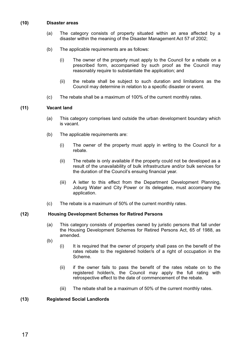#### **(10) Disaster areas**

- (a) The category consists of property situated within an area affected by a disaster within the meaning of the Disaster Management Act 57 of 2002;
- (b) The applicable requirements are as follows:
	- (i) The owner of the property must apply to the Council for a rebate on a prescribed form, accompanied by such proof as the Council may reasonably require to substantiate the application; and
	- (ii) the rebate shall be subject to such duration and limitations as the Council may determine in relation to a specific disaster or event.
- (c) The rebate shall be a maximum of 100% of the current monthly rates.

#### **(11) Vacant land**

- (a) This category comprises land outside the urban development boundary which is vacant.
- (b) The applicable requirements are:
	- (i) The owner of the property must apply in writing to the Council for a rebate.
	- (ii) The rebate is only available if the property could not be developed as a result of the unavailability of bulk infrastructure and/or bulk services for the duration of the Council's ensuing financial year.
	- (iii) A letter to this effect from the Department Development Planning, Joburg Water and City Power or its delegatee, must accompany the application.
- (c) The rebate is a maximum of 50% of the current monthly rates.

#### **(12) Housing Development Schemes for Retired Persons**

- (a) This category consists of properties owned by juristic persons that fall under the Housing Development Schemes for Retired Persons Act, 65 of 1988, as amended.
- (b)
- (i) It is required that the owner of property shall pass on the benefit of the rates rebate to the registered holder/s of a right of occupation in the Scheme.
- (ii) if the owner fails to pass the benefit of the rates rebate on to the registered holder/s, the Council may apply the full rating with retrospective effect to the date of commencement of the rebate.
- (iii) The rebate shall be a maximum of 50% of the current monthly rates.

#### **(13) Registered Social Landlords**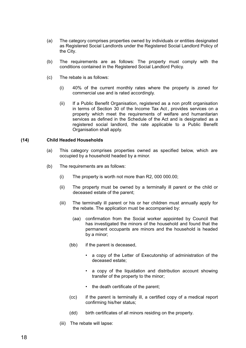- (a) The category comprises properties owned by individuals or entities designated as Registered Social Landlords under the Registered Social Landlord Policy of the City.
- (b) The requirements are as follows: The property must comply with the conditions contained in the Registered Social Landlord Policy.
- (c) The rebate is as follows:
	- (i) 40% of the current monthly rates where the property is zoned for commercial use and is rated accordingly.
	- (ii) If a Public Benefit Organisation, registered as a non profit organisation in terms of Section 30 of the Income Tax Act , provides services on a property which meet the requirements of welfare and humanitarian services as defined in the Schedule of the Act and is designated as a registered social landlord, the rate applicable to a Public Benefit Organisation shall apply.

#### **(14) Child Headed Households**

- (a) This category comprises properties owned as specified below, which are occupied by a household headed by a minor.
- (b) The requirements are as follows:
	- (i) The property is worth not more than R2, 000 000.00;
	- (ii) The property must be owned by a terminally ill parent or the child or deceased estate of the parent;
	- (iii) The terminally ill parent or his or her children must annually apply for the rebate. The application must be accompanied by:
		- (aa) confirmation from the Social worker appointed by Council that has investigated the minors of the household and found that the permanent occupants are minors and the household is headed by a minor;
		- (bb) if the parent is deceased,
			- a copy of the Letter of Executorship of administration of the deceased estate;
			- a copy of the liquidation and distribution account showing transfer of the property to the minor;
			- the death certificate of the parent;
		- (cc) if the parent is terminally ill, a certified copy of a medical report confirming his/her status;
		- (dd) birth certificates of all minors residing on the property.
	- (iii) The rebate will lapse: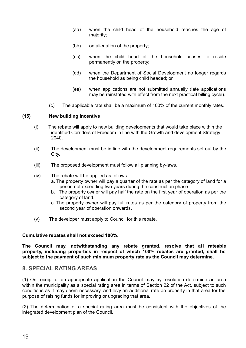- (aa) when the child head of the household reaches the age of majority;
- (bb) on alienation of the property;
- (cc) when the child head of the household ceases to reside permanently on the property;
- (dd) when the Department of Social Development no longer regards the household as being child headed; or
- (ee) when applications are not submitted annually (late applications may be reinstated with effect from the next practical billing cycle).
- (c) The applicable rate shall be a maximum of 100% of the current monthly rates.

#### **(15) New building Incentive**

- (i) The rebate will apply to new building developments that would take place within the identified Corridors of Freedom in line with the Growth and development Strategy 2040.
- (ii) The development must be in line with the development requirements set out by the City.
- (iii) The proposed development must follow all planning by-laws.
- (iv) The rebate will be applied as follows.
	- a. The property owner will pay a quarter of the rate as per the category of land for a period not exceeding two years during the construction phase.
	- b. The property owner will pay half the rate on the first year of operation as per the category of land.
	- c. The property owner will pay full rates as per the category of property from the second year of operation onwards.
- (v) The developer must apply to Council for this rebate.

#### **Cumulative rebates shall not exceed 100%.**

**The Council may, notwithstanding any rebate granted, resolve that all rateable property, including properties in respect of which 100% rebates are granted, shall be subject to the payment of such minimum property rate as the Council may determine**.

#### **8. SPECIAL RATING AREAS**

(1) On receipt of an appropriate application the Council may by resolution determine an area within the municipality as a special rating area in terms of Section 22 of the Act, subject to such conditions as it may deem necessary, and levy an additional rate on property in that area for the purpose of raising funds for improving or upgrading that area.

(2) The determination of a special rating area must be consistent with the objectives of the integrated development plan of the Council.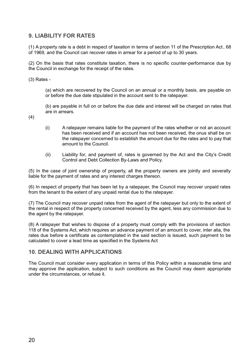#### **9. LIABILITY FOR RATES**

(1) A property rate is a debt in respect of taxation in terms of section 11 of the Prescription Act , 68 of 1969, and the Council can recover rates in arrear for a period of up to 30 years.

(2) On the basis that rates constitute taxation, there is no specific counter-performance due by the Council in exchange for the receipt of the rates.

(3) Rates -

(a) which are recovered by the Council on an annual or a monthly basis, are payable on or before the due date stipulated in the account sent to the ratepayer.

(b) are payable in full on or before the due date and interest will be charged on rates that are in arrears.

(4)

- (i) A ratepayer remains liable for the payment of the rates whether or not an account has been received and if an account has not been received, the onus shall be on the ratepayer concerned to establish the amount due for the rates and to pay that amount to the Council.
- (ii) Liability for, and payment of, rates is governed by the Act and the City's Credit Control and Debt Collection By-Laws and Policy.

(5) In the case of joint ownership of property, all the property owners are jointly and severally liable for the payment of rates and any interest charges thereon.

(6) In respect of property that has been let by a ratepayer, the Council may recover unpaid rates from the tenant to the extent of any unpaid rental due to the ratepayer.

(7) The Council may recover unpaid rates from the agent of the ratepayer but only to the extent of the rental in respect of the property concerned received by the agent, less any commission due to the agent by the ratepayer.

(8) A ratepayer that wishes to dispose of a property must comply with the provisions of section 118 of the Systems Act, which requires an advance payment of an amount to cover, inter alia, the rates due before a certificate as contemplated in the said section is issued, such payment to be calculated to cover a lead time as specified in the Systems Act

#### **10. DEALING WITH APPLICATIONS**

The Council must consider every application in terms of this Policy within a reasonable time and may approve the application, subject to such conditions as the Council may deem appropriate under the circumstances, or refuse it.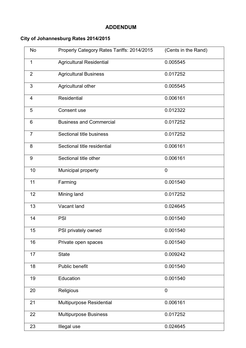### **ADDENDUM**

## **City of Johannesburg Rates 2014/2015**

| No             | Properly Category Rates Tariffs: 2014/2015 | (Cents in the Rand) |
|----------------|--------------------------------------------|---------------------|
| 1              | <b>Agricultural Residential</b>            | 0.005545            |
| $\overline{c}$ | <b>Agricultural Business</b>               | 0.017252            |
| 3              | Agricultural other                         | 0.005545            |
| 4              | Residential                                | 0.006161            |
| 5              | Consent use                                | 0.012322            |
| 6              | <b>Business and Commercial</b>             | 0.017252            |
| 7              | Sectional title business                   | 0.017252            |
| 8              | Sectional title residential                | 0.006161            |
| 9              | Sectional title other                      | 0.006161            |
| 10             | Municipal property                         | 0                   |
| 11             | Farming                                    | 0.001540            |
| 12             | Mining land                                | 0.017252            |
| 13             | Vacant land                                | 0.024645            |
| 14             | PSI                                        | 0.001540            |
| 15             | PSI privately owned                        | 0.001540            |
| 16             | Private open spaces                        | 0.001540            |
| 17             | <b>State</b>                               | 0.009242            |
| 18             | Public benefit                             | 0.001540            |
| 19             | Education                                  | 0.001540            |
| 20             | Religious                                  | 0                   |
| 21             | Multipurpose Residential                   | 0.006161            |
| 22             | Multipurpose Business                      | 0.017252            |
| 23             | Illegal use                                | 0.024645            |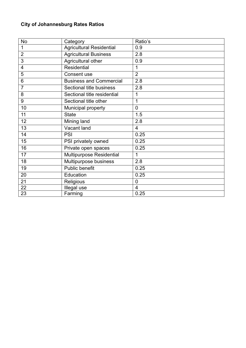# **City of Johannesburg Rates Ratios**

| No             | Category                        | Ratio's        |
|----------------|---------------------------------|----------------|
| 1              | <b>Agricultural Residential</b> | 0.9            |
| 2              | <b>Agricultural Business</b>    | 2.8            |
| 3              | Agricultural other              | 0.9            |
| 4              | Residential                     | 1              |
| 5              | Consent use                     | $\overline{2}$ |
| 6              | <b>Business and Commercial</b>  | 2.8            |
| $\overline{7}$ | Sectional title business        | 2.8            |
| 8              | Sectional title residential     | 1              |
| 9              | Sectional title other           | 1              |
| 10             | Municipal property              | 0              |
| 11             | <b>State</b>                    | 1.5            |
| 12             | Mining land                     | 2.8            |
| 13             | Vacant land                     | 4              |
| 14             | PSI                             | 0.25           |
| 15             | PSI privately owned             | 0.25           |
| 16             | Private open spaces             | 0.25           |
| 17             | Multipurpose Residential        | 1              |
| 18             | Multipurpose business           | 2.8            |
| 19             | Public benefit                  | 0.25           |
| 20             | Education                       | 0.25           |
| 21             | Religious                       | 0              |
| 22             | Illegal use                     | 4              |
| 23             | Farming                         | 0.25           |